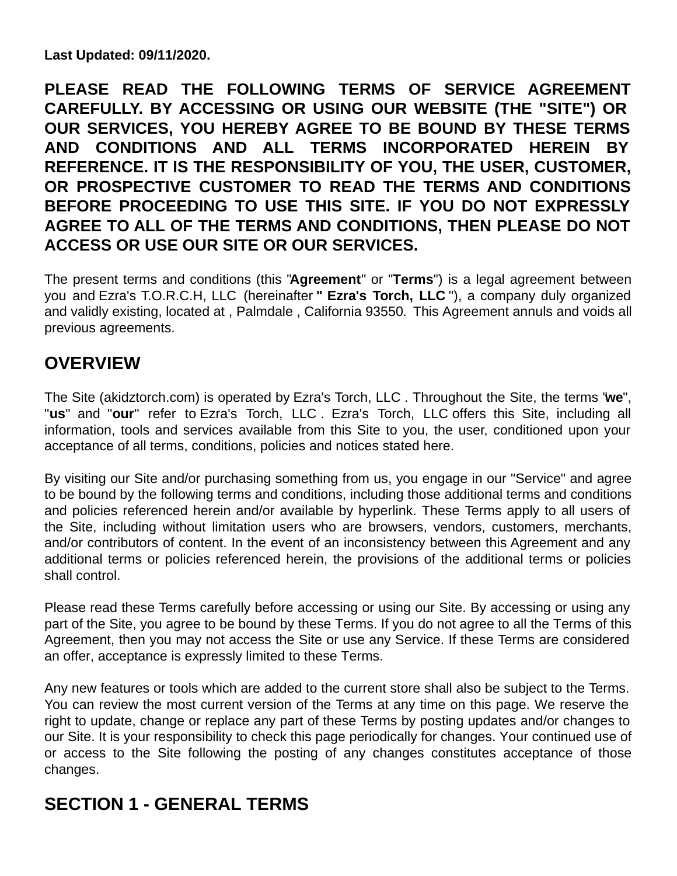**Last Updated: 09/11/2020.**

**PLEASE READ THE FOLLOWING TERMS OF SERVICE AGREEMENT CAREFULLY. BY ACCESSING OR USING OUR WEBSITE (THE "SITE") OR OUR SERVICES, YOU HEREBY AGREE TO BE BOUND BY THESE TERMS AND CONDITIONS AND ALL TERMS INCORPORATED HEREIN BY REFERENCE. IT IS THE RESPONSIBILITY OF YOU, THE USER, CUSTOMER, OR PROSPECTIVE CUSTOMER TO READ THE TERMS AND CONDITIONS BEFORE PROCEEDING TO USE THIS SITE. IF YOU DO NOT EXPRESSLY AGREE TO ALL OF THE TERMS AND CONDITIONS, THEN PLEASE DO NOT ACCESS OR USE OUR SITE OR OUR SERVICES.**

The present terms and conditions (this "**Agreement**" or "**Terms**") is a legal agreement between you and Ezra's T.O.R.C.H, LLC (hereinafter **" Ezra's Torch, LLC** "), a company duly organized and validly existing, located at , Palmdale , California 93550. This Agreement annuls and voids all previous agreements.

# **OVERVIEW**

The Site (akidztorch.com) is operated by Ezra's Torch, LLC . Throughout the Site, the terms "**we**", "**us**" and "**our**" refer to Ezra's Torch, LLC . Ezra's Torch, LLC offers this Site, including all information, tools and services available from this Site to you, the user, conditioned upon your acceptance of all terms, conditions, policies and notices stated here.

By visiting our Site and/or purchasing something from us, you engage in our "Service" and agree to be bound by the following terms and conditions, including those additional terms and conditions and policies referenced herein and/or available by hyperlink. These Terms apply to all users of the Site, including without limitation users who are browsers, vendors, customers, merchants, and/or contributors of content. In the event of an inconsistency between this Agreement and any additional terms or policies referenced herein, the provisions of the additional terms or policies shall control.

Please read these Terms carefully before accessing or using our Site. By accessing or using any part of the Site, you agree to be bound by these Terms. If you do not agree to all the Terms of this Agreement, then you may not access the Site or use any Service. If these Terms are considered an offer, acceptance is expressly limited to these Terms.

Any new features or tools which are added to the current store shall also be subject to the Terms. You can review the most current version of the Terms at any time on this page. We reserve the right to update, change or replace any part of these Terms by posting updates and/or changes to our Site. It is your responsibility to check this page periodically for changes. Your continued use of or access to the Site following the posting of any changes constitutes acceptance of those changes.

# **SECTION 1 - GENERAL TERMS**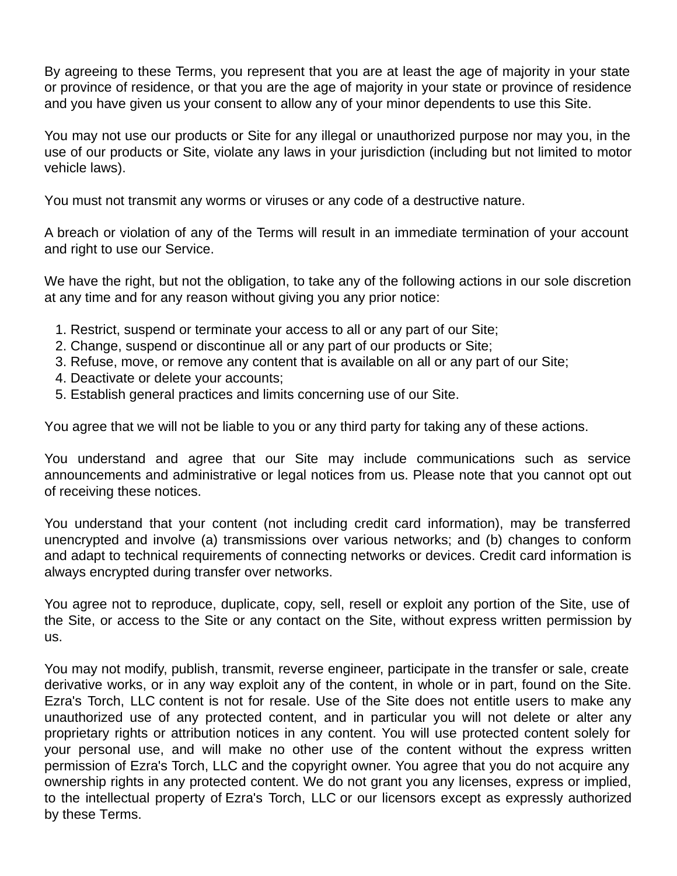By agreeing to these Terms, you represent that you are at least the age of majority in your state or province of residence, or that you are the age of majority in your state or province of residence and you have given us your consent to allow any of your minor dependents to use this Site.

You may not use our products or Site for any illegal or unauthorized purpose nor may you, in the use of our products or Site, violate any laws in your jurisdiction (including but not limited to motor vehicle laws).

You must not transmit any worms or viruses or any code of a destructive nature.

A breach or violation of any of the Terms will result in an immediate termination of your account and right to use our Service.

We have the right, but not the obligation, to take any of the following actions in our sole discretion at any time and for any reason without giving you any prior notice:

- 1. Restrict, suspend or terminate your access to all or any part of our Site;
- 2. Change, suspend or discontinue all or any part of our products or Site;
- 3. Refuse, move, or remove any content that is available on all or any part of our Site;
- 4. Deactivate or delete your accounts;
- 5. Establish general practices and limits concerning use of our Site.

You agree that we will not be liable to you or any third party for taking any of these actions.

You understand and agree that our Site may include communications such as service announcements and administrative or legal notices from us. Please note that you cannot opt out of receiving these notices.

You understand that your content (not including credit card information), may be transferred unencrypted and involve (a) transmissions over various networks; and (b) changes to conform and adapt to technical requirements of connecting networks or devices. Credit card information is always encrypted during transfer over networks.

You agree not to reproduce, duplicate, copy, sell, resell or exploit any portion of the Site, use of the Site, or access to the Site or any contact on the Site, without express written permission by us.

You may not modify, publish, transmit, reverse engineer, participate in the transfer or sale, create derivative works, or in any way exploit any of the content, in whole or in part, found on the Site. Ezra's Torch, LLC content is not for resale. Use of the Site does not entitle users to make any unauthorized use of any protected content, and in particular you will not delete or alter any proprietary rights or attribution notices in any content. You will use protected content solely for your personal use, and will make no other use of the content without the express written permission of Ezra's Torch, LLC and the copyright owner. You agree that you do not acquire any ownership rights in any protected content. We do not grant you any licenses, express or implied, to the intellectual property of Ezra's Torch, LLC or our licensors except as expressly authorized by these Terms.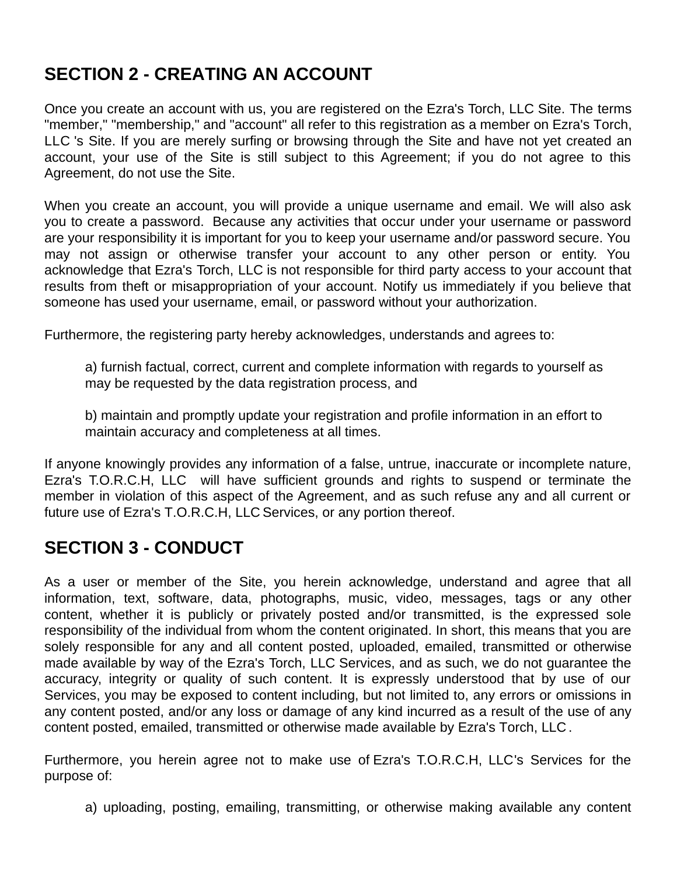# **SECTION 2 - CREATING AN ACCOUNT**

Once you create an account with us, you are registered on the Ezra's Torch, LLC Site. The terms "member," "membership," and "account" all refer to this registration as a member on Ezra's Torch, LLC 's Site. If you are merely surfing or browsing through the Site and have not yet created an account, your use of the Site is still subject to this Agreement; if you do not agree to this Agreement, do not use the Site.

When you create an account, you will provide a unique username and email. We will also ask you to create a password. Because any activities that occur under your username or password are your responsibility it is important for you to keep your username and/or password secure. You may not assign or otherwise transfer your account to any other person or entity. You acknowledge that Ezra's Torch, LLC is not responsible for third party access to your account that results from theft or misappropriation of your account. Notify us immediately if you believe that someone has used your username, email, or password without your authorization.

Furthermore, the registering party hereby acknowledges, understands and agrees to:

a) furnish factual, correct, current and complete information with regards to yourself as may be requested by the data registration process, and

b) maintain and promptly update your registration and profile information in an effort to maintain accuracy and completeness at all times.

If anyone knowingly provides any information of a false, untrue, inaccurate or incomplete nature, Ezra's T.O.R.C.H, LLC will have sufficient grounds and rights to suspend or terminate the member in violation of this aspect of the Agreement, and as such refuse any and all current or future use of Ezra's T.O.R.C.H, LLC Services, or any portion thereof.

### **SECTION 3 - CONDUCT**

As a user or member of the Site, you herein acknowledge, understand and agree that all information, text, software, data, photographs, music, video, messages, tags or any other content, whether it is publicly or privately posted and/or transmitted, is the expressed sole responsibility of the individual from whom the content originated. In short, this means that you are solely responsible for any and all content posted, uploaded, emailed, transmitted or otherwise made available by way of the Ezra's Torch, LLC Services, and as such, we do not guarantee the accuracy, integrity or quality of such content. It is expressly understood that by use of our Services, you may be exposed to content including, but not limited to, any errors or omissions in any content posted, and/or any loss or damage of any kind incurred as a result of the use of any content posted, emailed, transmitted or otherwise made available by Ezra's Torch, LLC .

Furthermore, you herein agree not to make use of Ezra's T.O.R.C.H, LLC's Services for the purpose of:

a) uploading, posting, emailing, transmitting, or otherwise making available any content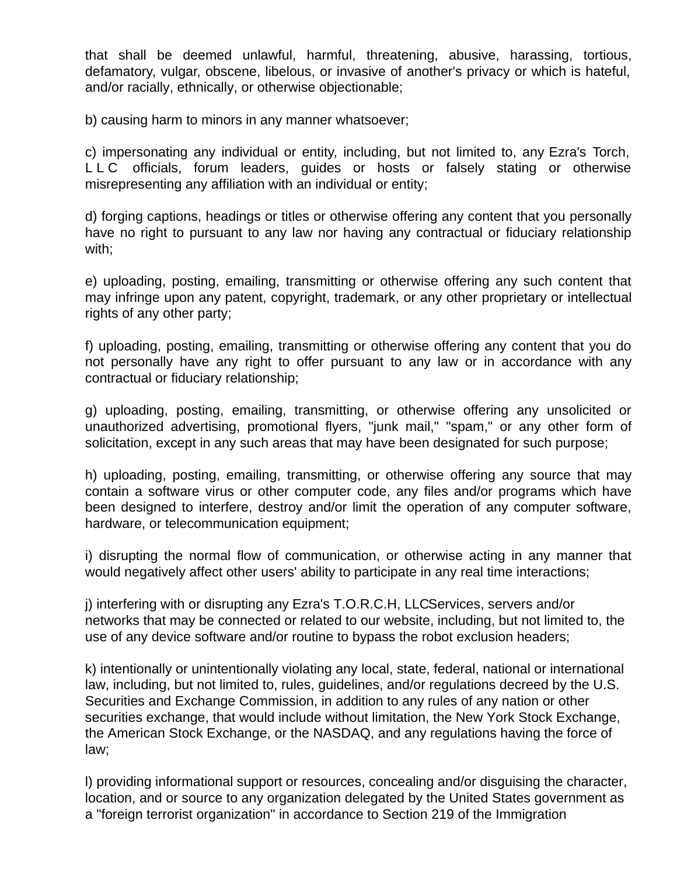that shall be deemed unlawful, harmful, threatening, abusive, harassing, tortious, defamatory, vulgar, obscene, libelous, or invasive of another's privacy or which is hateful, and/or racially, ethnically, or otherwise objectionable;

b) causing harm to minors in any manner whatsoever;

c) impersonating any individual or entity, including, but not limited to, any Ezra's Torch, L L C officials, forum leaders, guides or hosts or falsely stating or otherwise misrepresenting any affiliation with an individual or entity;

d) forging captions, headings or titles or otherwise offering any content that you personally have no right to pursuant to any law nor having any contractual or fiduciary relationship with;

e) uploading, posting, emailing, transmitting or otherwise offering any such content that may infringe upon any patent, copyright, trademark, or any other proprietary or intellectual rights of any other party;

f) uploading, posting, emailing, transmitting or otherwise offering any content that you do not personally have any right to offer pursuant to any law or in accordance with any contractual or fiduciary relationship;

g) uploading, posting, emailing, transmitting, or otherwise offering any unsolicited or unauthorized advertising, promotional flyers, "junk mail," "spam," or any other form of solicitation, except in any such areas that may have been designated for such purpose;

h) uploading, posting, emailing, transmitting, or otherwise offering any source that may contain a software virus or other computer code, any files and/or programs which have been designed to interfere, destroy and/or limit the operation of any computer software, hardware, or telecommunication equipment;

i) disrupting the normal flow of communication, or otherwise acting in any manner that would negatively affect other users' ability to participate in any real time interactions;

j) interfering with or disrupting any Ezra's T.O.R.C.H, LLCServices, servers and/or networks that may be connected or related to our website, including, but not limited to, the use of any device software and/or routine to bypass the robot exclusion headers;

k) intentionally or unintentionally violating any local, state, federal, national or international law, including, but not limited to, rules, guidelines, and/or regulations decreed by the U.S. Securities and Exchange Commission, in addition to any rules of any nation or other securities exchange, that would include without limitation, the New York Stock Exchange, the American Stock Exchange, or the NASDAQ, and any regulations having the force of law;

l) providing informational support or resources, concealing and/or disguising the character, location, and or source to any organization delegated by the United States government as a "foreign terrorist organization" in accordance to Section 219 of the Immigration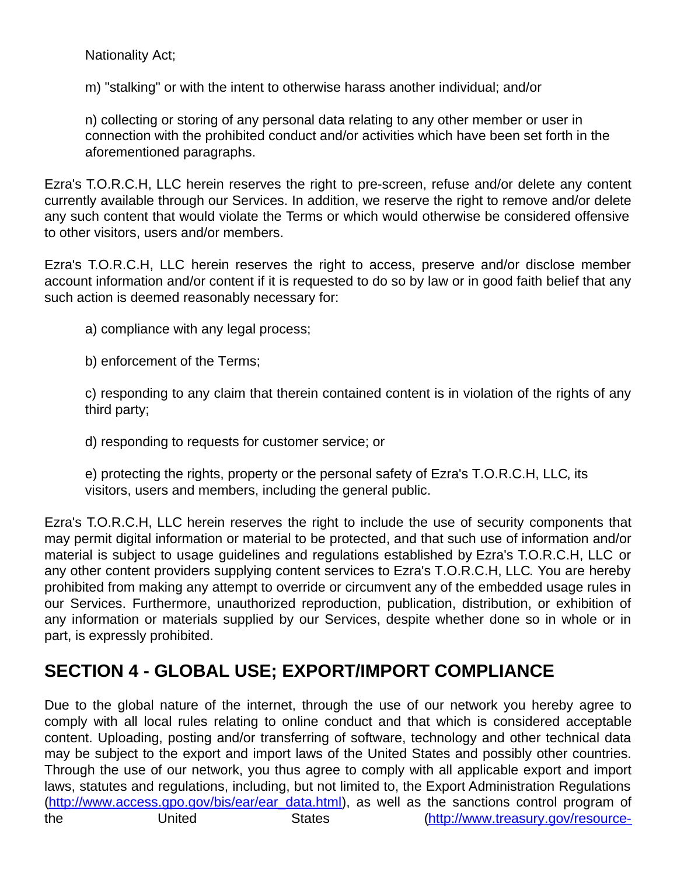Nationality Act;

m) "stalking" or with the intent to otherwise harass another individual; and/or

n) collecting or storing of any personal data relating to any other member or user in connection with the prohibited conduct and/or activities which have been set forth in the aforementioned paragraphs.

Ezra's T.O.R.C.H, LLC herein reserves the right to pre-screen, refuse and/or delete any content currently available through our Services. In addition, we reserve the right to remove and/or delete any such content that would violate the Terms or which would otherwise be considered offensive to other visitors, users and/or members.

Ezra's T.O.R.C.H, LLC herein reserves the right to access, preserve and/or disclose member account information and/or content if it is requested to do so by law or in good faith belief that any such action is deemed reasonably necessary for:

a) compliance with any legal process;

b) enforcement of the Terms;

c) responding to any claim that therein contained content is in violation of the rights of any third party;

d) responding to requests for customer service; or

e) protecting the rights, property or the personal safety of Ezra's T.O.R.C.H, LLC, its visitors, users and members, including the general public.

Ezra's T.O.R.C.H, LLC herein reserves the right to include the use of security components that may permit digital information or material to be protected, and that such use of information and/or material is subject to usage guidelines and regulations established by Ezra's T.O.R.C.H, LLC or any other content providers supplying content services to Ezra's T.O.R.C.H, LLC. You are hereby prohibited from making any attempt to override or circumvent any of the embedded usage rules in our Services. Furthermore, unauthorized reproduction, publication, distribution, or exhibition of any information or materials supplied by our Services, despite whether done so in whole or in part, is expressly prohibited.

# **SECTION 4 - GLOBAL USE; EXPORT/IMPORT COMPLIANCE**

Due to the global nature of the internet, through the use of our network you hereby agree to comply with all local rules relating to online conduct and that which is considered acceptable content. Uploading, posting and/or transferring of software, technology and other technical data may be subject to the export and import laws of the United States and possibly other countries. Through the use of our network, you thus agree to comply with all applicable export and import laws, statutes and regulations, including, but not limited to, the Export Administration Regulations [\(http://www.access.gpo.gov/bis/ear/ear\\_data.html](http://www.access.gpo.gov/bis/ear/ear_data.html)), as well as the sanctions control program of the United States [\(http://www.treasury.gov/resource-](http://www.treasury.gov/resource-center/sanctions/Programs/Pages/Programs.aspx)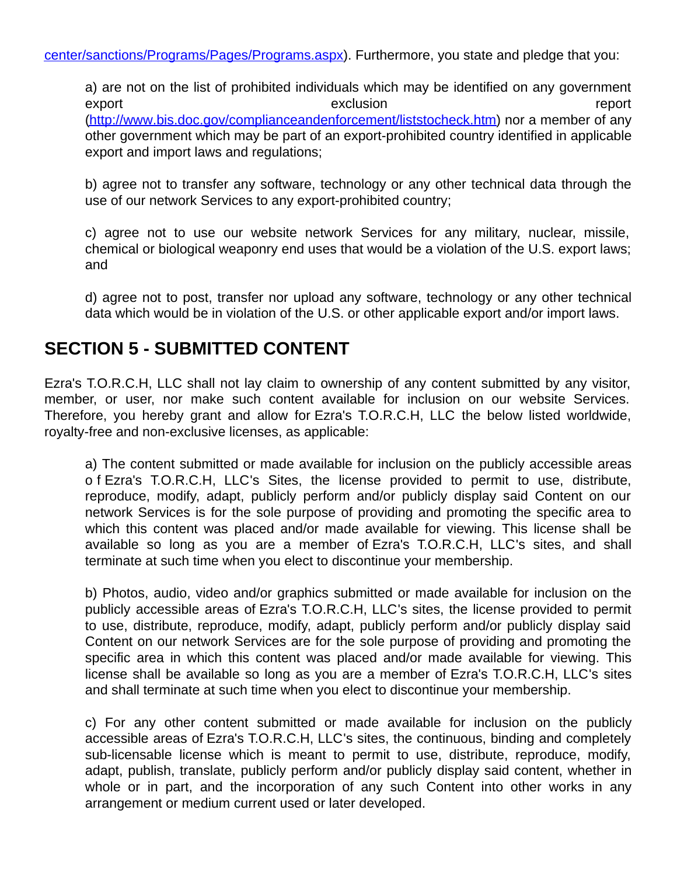a) are not on the list of prohibited individuals which may be identified on any government export export exclusion exclusion and the export of  $\sim$ [\(http://www.bis.doc.gov/complianceandenforcement/liststocheck.htm](http://www.bis.doc.gov/complianceandenforcement/liststocheck.htm)) nor a member of any other government which may be part of an export-prohibited country identified in applicable export and import laws and regulations;

b) agree not to transfer any software, technology or any other technical data through the use of our network Services to any export-prohibited country;

c) agree not to use our website network Services for any military, nuclear, missile, chemical or biological weaponry end uses that would be a violation of the U.S. export laws; and

d) agree not to post, transfer nor upload any software, technology or any other technical data which would be in violation of the U.S. or other applicable export and/or import laws.

### **SECTION 5 - SUBMITTED CONTENT**

Ezra's T.O.R.C.H, LLC shall not lay claim to ownership of any content submitted by any visitor, member, or user, nor make such content available for inclusion on our website Services. Therefore, you hereby grant and allow for Ezra's T.O.R.C.H, LLC the below listed worldwide, royalty-free and non-exclusive licenses, as applicable:

a) The content submitted or made available for inclusion on the publicly accessible areas o f Ezra's T.O.R.C.H, LLC's Sites, the license provided to permit to use, distribute, reproduce, modify, adapt, publicly perform and/or publicly display said Content on our network Services is for the sole purpose of providing and promoting the specific area to which this content was placed and/or made available for viewing. This license shall be available so long as you are a member of Ezra's T.O.R.C.H, LLC's sites, and shall terminate at such time when you elect to discontinue your membership.

b) Photos, audio, video and/or graphics submitted or made available for inclusion on the publicly accessible areas of Ezra's T.O.R.C.H, LLC's sites, the license provided to permit to use, distribute, reproduce, modify, adapt, publicly perform and/or publicly display said Content on our network Services are for the sole purpose of providing and promoting the specific area in which this content was placed and/or made available for viewing. This license shall be available so long as you are a member of Ezra's T.O.R.C.H, LLC's sites and shall terminate at such time when you elect to discontinue your membership.

c) For any other content submitted or made available for inclusion on the publicly accessible areas of Ezra's T.O.R.C.H, LLC's sites, the continuous, binding and completely sub-licensable license which is meant to permit to use, distribute, reproduce, modify, adapt, publish, translate, publicly perform and/or publicly display said content, whether in whole or in part, and the incorporation of any such Content into other works in any arrangement or medium current used or later developed.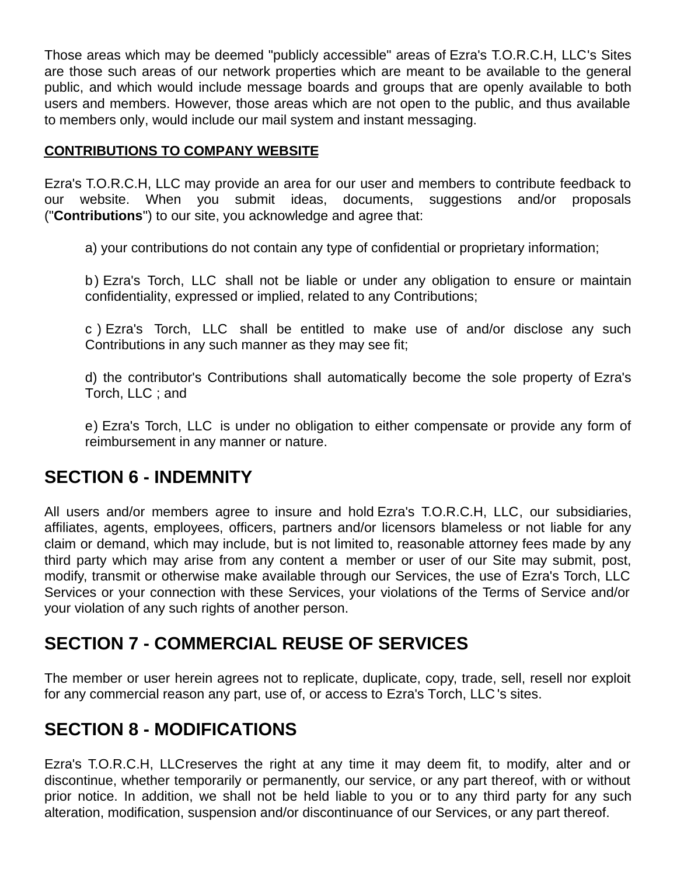Those areas which may be deemed "publicly accessible" areas of Ezra's T.O.R.C.H, LLC's Sites are those such areas of our network properties which are meant to be available to the general public, and which would include message boards and groups that are openly available to both users and members. However, those areas which are not open to the public, and thus available to members only, would include our mail system and instant messaging.

#### **CONTRIBUTIONS TO COMPANY WEBSITE**

Ezra's T.O.R.C.H, LLC may provide an area for our user and members to contribute feedback to our website. When you submit ideas, documents, suggestions and/or proposals ("**Contributions**") to our site, you acknowledge and agree that:

a) your contributions do not contain any type of confidential or proprietary information;

b) Ezra's Torch, LLC shall not be liable or under any obligation to ensure or maintain confidentiality, expressed or implied, related to any Contributions;

c ) Ezra's Torch, LLC shall be entitled to make use of and/or disclose any such Contributions in any such manner as they may see fit;

d) the contributor's Contributions shall automatically become the sole property of Ezra's Torch, LLC ; and

e) Ezra's Torch, LLC is under no obligation to either compensate or provide any form of reimbursement in any manner or nature.

#### **SECTION 6 - INDEMNITY**

All users and/or members agree to insure and hold Ezra's T.O.R.C.H, LLC, our subsidiaries, affiliates, agents, employees, officers, partners and/or licensors blameless or not liable for any claim or demand, which may include, but is not limited to, reasonable attorney fees made by any third party which may arise from any content a member or user of our Site may submit, post, modify, transmit or otherwise make available through our Services, the use of Ezra's Torch, LLC Services or your connection with these Services, your violations of the Terms of Service and/or your violation of any such rights of another person.

### **SECTION 7 - COMMERCIAL REUSE OF SERVICES**

The member or user herein agrees not to replicate, duplicate, copy, trade, sell, resell nor exploit for any commercial reason any part, use of, or access to Ezra's Torch, LLC 's sites.

# **SECTION 8 - MODIFICATIONS**

Ezra's T.O.R.C.H, LLCreserves the right at any time it may deem fit, to modify, alter and or discontinue, whether temporarily or permanently, our service, or any part thereof, with or without prior notice. In addition, we shall not be held liable to you or to any third party for any such alteration, modification, suspension and/or discontinuance of our Services, or any part thereof.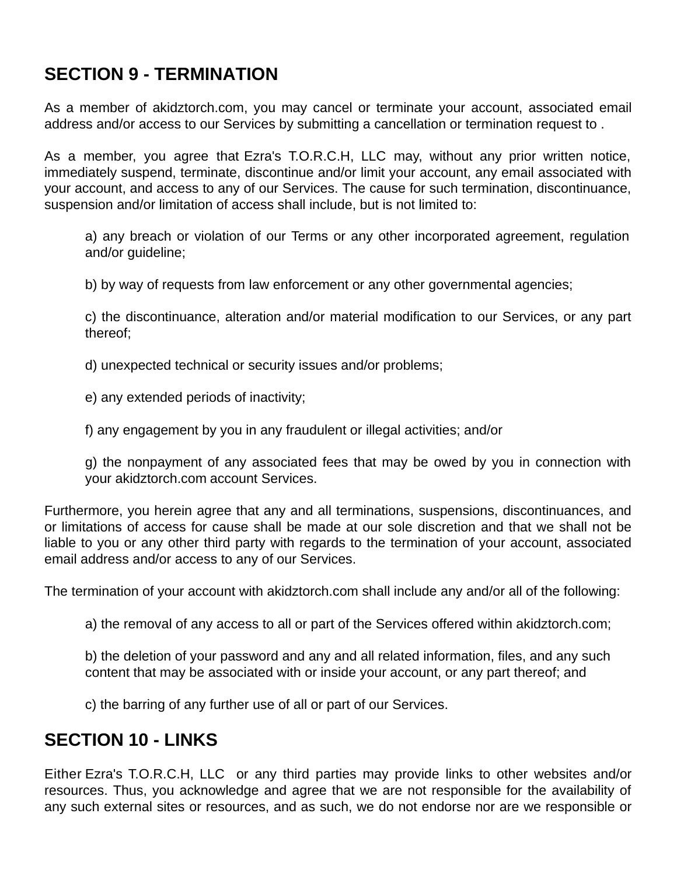# **SECTION 9 - TERMINATION**

As a member of akidztorch.com, you may cancel or terminate your account, associated email address and/or access to our Services by submitting a cancellation or termination request to .

As a member, you agree that Ezra's T.O.R.C.H, LLC may, without any prior written notice, immediately suspend, terminate, discontinue and/or limit your account, any email associated with your account, and access to any of our Services. The cause for such termination, discontinuance, suspension and/or limitation of access shall include, but is not limited to:

a) any breach or violation of our Terms or any other incorporated agreement, regulation and/or guideline;

b) by way of requests from law enforcement or any other governmental agencies;

c) the discontinuance, alteration and/or material modification to our Services, or any part thereof;

d) unexpected technical or security issues and/or problems;

e) any extended periods of inactivity;

f) any engagement by you in any fraudulent or illegal activities; and/or

g) the nonpayment of any associated fees that may be owed by you in connection with your akidztorch.com account Services.

Furthermore, you herein agree that any and all terminations, suspensions, discontinuances, and or limitations of access for cause shall be made at our sole discretion and that we shall not be liable to you or any other third party with regards to the termination of your account, associated email address and/or access to any of our Services.

The termination of your account with akidztorch.com shall include any and/or all of the following:

a) the removal of any access to all or part of the Services offered within akidztorch.com;

b) the deletion of your password and any and all related information, files, and any such content that may be associated with or inside your account, or any part thereof; and

c) the barring of any further use of all or part of our Services.

#### **SECTION 10 - LINKS**

Either Ezra's T.O.R.C.H, LLC or any third parties may provide links to other websites and/or resources. Thus, you acknowledge and agree that we are not responsible for the availability of any such external sites or resources, and as such, we do not endorse nor are we responsible or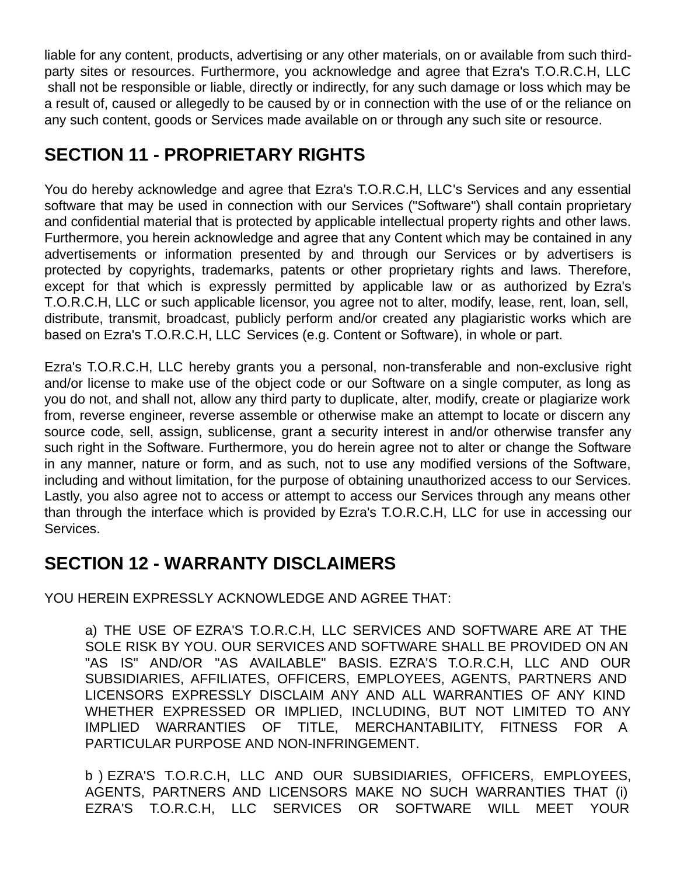liable for any content, products, advertising or any other materials, on or available from such thirdparty sites or resources. Furthermore, you acknowledge and agree that Ezra's T.O.R.C.H, LLC shall not be responsible or liable, directly or indirectly, for any such damage or loss which may be a result of, caused or allegedly to be caused by or in connection with the use of or the reliance on any such content, goods or Services made available on or through any such site or resource.

# **SECTION 11 - PROPRIETARY RIGHTS**

You do hereby acknowledge and agree that Ezra's T.O.R.C.H, LLC's Services and any essential software that may be used in connection with our Services ("Software") shall contain proprietary and confidential material that is protected by applicable intellectual property rights and other laws. Furthermore, you herein acknowledge and agree that any Content which may be contained in any advertisements or information presented by and through our Services or by advertisers is protected by copyrights, trademarks, patents or other proprietary rights and laws. Therefore, except for that which is expressly permitted by applicable law or as authorized by Ezra's T.O.R.C.H, LLC or such applicable licensor, you agree not to alter, modify, lease, rent, loan, sell, distribute, transmit, broadcast, publicly perform and/or created any plagiaristic works which are based on Ezra's T.O.R.C.H, LLC Services (e.g. Content or Software), in whole or part.

Ezra's T.O.R.C.H, LLC hereby grants you a personal, non-transferable and non-exclusive right and/or license to make use of the object code or our Software on a single computer, as long as you do not, and shall not, allow any third party to duplicate, alter, modify, create or plagiarize work from, reverse engineer, reverse assemble or otherwise make an attempt to locate or discern any source code, sell, assign, sublicense, grant a security interest in and/or otherwise transfer any such right in the Software. Furthermore, you do herein agree not to alter or change the Software in any manner, nature or form, and as such, not to use any modified versions of the Software, including and without limitation, for the purpose of obtaining unauthorized access to our Services. Lastly, you also agree not to access or attempt to access our Services through any means other than through the interface which is provided by Ezra's T.O.R.C.H, LLC for use in accessing our Services.

# **SECTION 12 - WARRANTY DISCLAIMERS**

YOU HEREIN EXPRESSLY ACKNOWLEDGE AND AGREE THAT:

a) THE USE OF EZRA'S T.O.R.C.H, LLC SERVICES AND SOFTWARE ARE AT THE SOLE RISK BY YOU. OUR SERVICES AND SOFTWARE SHALL BE PROVIDED ON AN "AS IS" AND/OR "AS AVAILABLE" BASIS. EZRA'S T.O.R.C.H, LLC AND OUR SUBSIDIARIES, AFFILIATES, OFFICERS, EMPLOYEES, AGENTS, PARTNERS AND LICENSORS EXPRESSLY DISCLAIM ANY AND ALL WARRANTIES OF ANY KIND WHETHER EXPRESSED OR IMPLIED, INCLUDING, BUT NOT LIMITED TO ANY IMPLIED WARRANTIES OF TITLE, MERCHANTABILITY, FITNESS FOR A PARTICULAR PURPOSE AND NON-INFRINGEMENT.

b ) EZRA'S T.O.R.C.H, LLC AND OUR SUBSIDIARIES, OFFICERS, EMPLOYEES, AGENTS, PARTNERS AND LICENSORS MAKE NO SUCH WARRANTIES THAT (i) EZRA'S T.O.R.C.H, LLC SERVICES OR SOFTWARE WILL MEET YOUR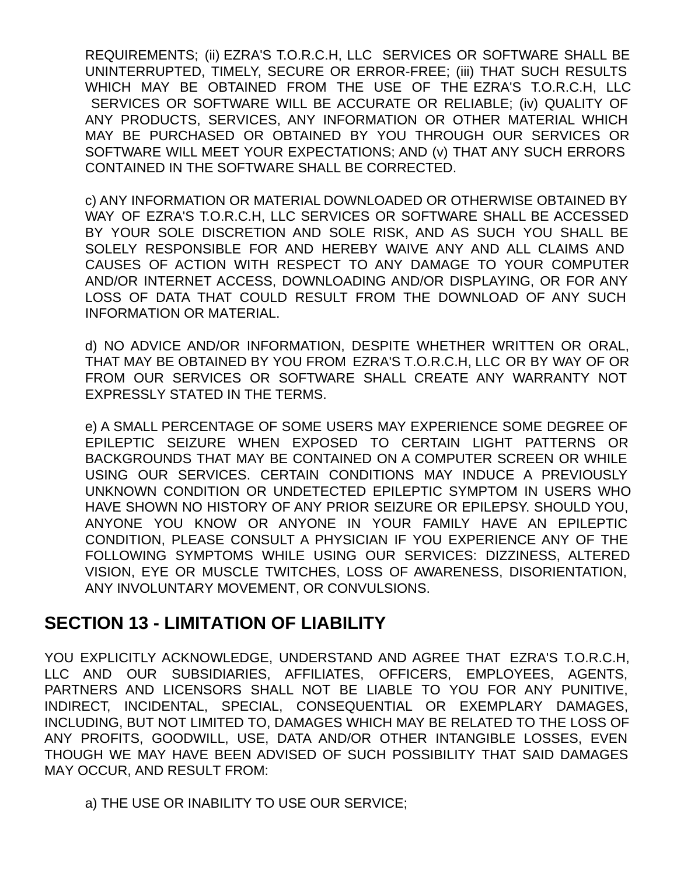REQUIREMENTS; (ii) EZRA'S T.O.R.C.H, LLC SERVICES OR SOFTWARE SHALL BE UNINTERRUPTED, TIMELY, SECURE OR ERROR-FREE; (iii) THAT SUCH RESULTS WHICH MAY BE OBTAINED FROM THE USE OF THE EZRA'S T.O.R.C.H, LLC SERVICES OR SOFTWARE WILL BE ACCURATE OR RELIABLE; (iv) QUALITY OF ANY PRODUCTS, SERVICES, ANY INFORMATION OR OTHER MATERIAL WHICH MAY BE PURCHASED OR OBTAINED BY YOU THROUGH OUR SERVICES OR SOFTWARE WILL MEET YOUR EXPECTATIONS; AND (v) THAT ANY SUCH ERRORS CONTAINED IN THE SOFTWARE SHALL BE CORRECTED.

c) ANY INFORMATION OR MATERIAL DOWNLOADED OR OTHERWISE OBTAINED BY WAY OF EZRA'S T.O.R.C.H, LLC SERVICES OR SOFTWARE SHALL BE ACCESSED BY YOUR SOLE DISCRETION AND SOLE RISK, AND AS SUCH YOU SHALL BE SOLELY RESPONSIBLE FOR AND HEREBY WAIVE ANY AND ALL CLAIMS AND CAUSES OF ACTION WITH RESPECT TO ANY DAMAGE TO YOUR COMPUTER AND/OR INTERNET ACCESS, DOWNLOADING AND/OR DISPLAYING, OR FOR ANY LOSS OF DATA THAT COULD RESULT FROM THE DOWNLOAD OF ANY SUCH INFORMATION OR MATERIAL.

d) NO ADVICE AND/OR INFORMATION, DESPITE WHETHER WRITTEN OR ORAL, THAT MAY BE OBTAINED BY YOU FROM EZRA'S T.O.R.C.H, LLC OR BY WAY OF OR FROM OUR SERVICES OR SOFTWARE SHALL CREATE ANY WARRANTY NOT EXPRESSLY STATED IN THE TERMS.

e) A SMALL PERCENTAGE OF SOME USERS MAY EXPERIENCE SOME DEGREE OF EPILEPTIC SEIZURE WHEN EXPOSED TO CERTAIN LIGHT PATTERNS OR BACKGROUNDS THAT MAY BE CONTAINED ON A COMPUTER SCREEN OR WHILE USING OUR SERVICES. CERTAIN CONDITIONS MAY INDUCE A PREVIOUSLY UNKNOWN CONDITION OR UNDETECTED EPILEPTIC SYMPTOM IN USERS WHO HAVE SHOWN NO HISTORY OF ANY PRIOR SEIZURE OR EPILEPSY. SHOULD YOU, ANYONE YOU KNOW OR ANYONE IN YOUR FAMILY HAVE AN EPILEPTIC CONDITION, PLEASE CONSULT A PHYSICIAN IF YOU EXPERIENCE ANY OF THE FOLLOWING SYMPTOMS WHILE USING OUR SERVICES: DIZZINESS, ALTERED VISION, EYE OR MUSCLE TWITCHES, LOSS OF AWARENESS, DISORIENTATION, ANY INVOLUNTARY MOVEMENT, OR CONVULSIONS.

#### **SECTION 13 - LIMITATION OF LIABILITY**

YOU EXPLICITLY ACKNOWLEDGE, UNDERSTAND AND AGREE THAT EZRA'S T.O.R.C.H, LLC AND OUR SUBSIDIARIES, AFFILIATES, OFFICERS, EMPLOYEES, AGENTS, PARTNERS AND LICENSORS SHALL NOT BE LIABLE TO YOU FOR ANY PUNITIVE, INDIRECT, INCIDENTAL, SPECIAL, CONSEQUENTIAL OR EXEMPLARY DAMAGES, INCLUDING, BUT NOT LIMITED TO, DAMAGES WHICH MAY BE RELATED TO THE LOSS OF ANY PROFITS, GOODWILL, USE, DATA AND/OR OTHER INTANGIBLE LOSSES, EVEN THOUGH WE MAY HAVE BEEN ADVISED OF SUCH POSSIBILITY THAT SAID DAMAGES MAY OCCUR, AND RESULT FROM:

a) THE USE OR INABILITY TO USE OUR SERVICE;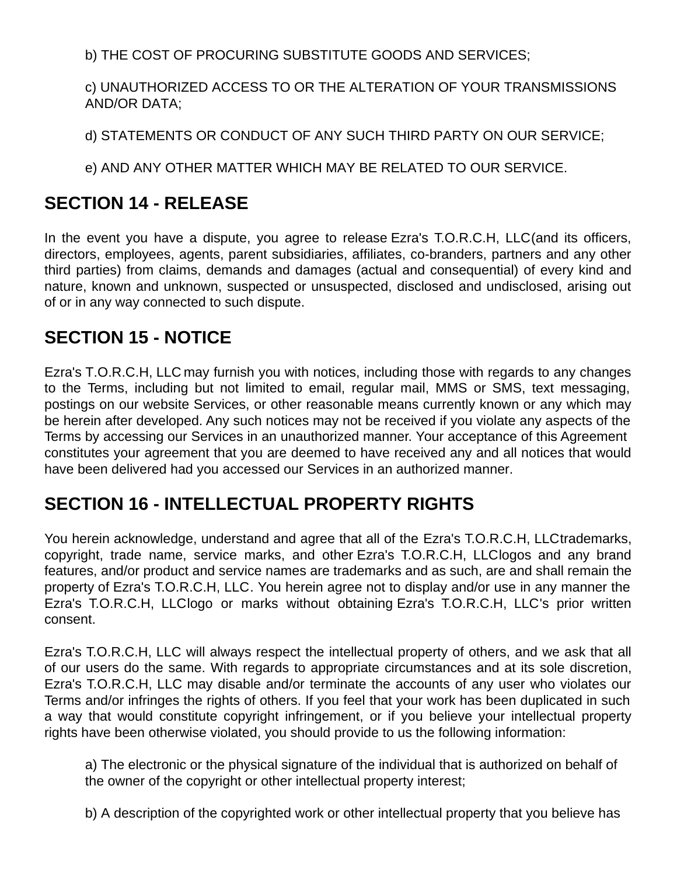b) THE COST OF PROCURING SUBSTITUTE GOODS AND SERVICES;

c) UNAUTHORIZED ACCESS TO OR THE ALTERATION OF YOUR TRANSMISSIONS AND/OR DATA;

d) STATEMENTS OR CONDUCT OF ANY SUCH THIRD PARTY ON OUR SERVICE;

e) AND ANY OTHER MATTER WHICH MAY BE RELATED TO OUR SERVICE.

### **SECTION 14 - RELEASE**

In the event you have a dispute, you agree to release Ezra's T.O.R.C.H, LLC(and its officers, directors, employees, agents, parent subsidiaries, affiliates, co-branders, partners and any other third parties) from claims, demands and damages (actual and consequential) of every kind and nature, known and unknown, suspected or unsuspected, disclosed and undisclosed, arising out of or in any way connected to such dispute.

### **SECTION 15 - NOTICE**

Ezra's T.O.R.C.H, LLC may furnish you with notices, including those with regards to any changes to the Terms, including but not limited to email, regular mail, MMS or SMS, text messaging, postings on our website Services, or other reasonable means currently known or any which may be herein after developed. Any such notices may not be received if you violate any aspects of the Terms by accessing our Services in an unauthorized manner. Your acceptance of this Agreement constitutes your agreement that you are deemed to have received any and all notices that would have been delivered had you accessed our Services in an authorized manner.

### **SECTION 16 - INTELLECTUAL PROPERTY RIGHTS**

You herein acknowledge, understand and agree that all of the Ezra's T.O.R.C.H, LLCtrademarks, copyright, trade name, service marks, and other Ezra's T.O.R.C.H, LLClogos and any brand features, and/or product and service names are trademarks and as such, are and shall remain the property of Ezra's T.O.R.C.H, LLC. You herein agree not to display and/or use in any manner the Ezra's T.O.R.C.H, LLClogo or marks without obtaining Ezra's T.O.R.C.H, LLC's prior written consent.

Ezra's T.O.R.C.H, LLC will always respect the intellectual property of others, and we ask that all of our users do the same. With regards to appropriate circumstances and at its sole discretion, Ezra's T.O.R.C.H, LLC may disable and/or terminate the accounts of any user who violates our Terms and/or infringes the rights of others. If you feel that your work has been duplicated in such a way that would constitute copyright infringement, or if you believe your intellectual property rights have been otherwise violated, you should provide to us the following information:

a) The electronic or the physical signature of the individual that is authorized on behalf of the owner of the copyright or other intellectual property interest;

b) A description of the copyrighted work or other intellectual property that you believe has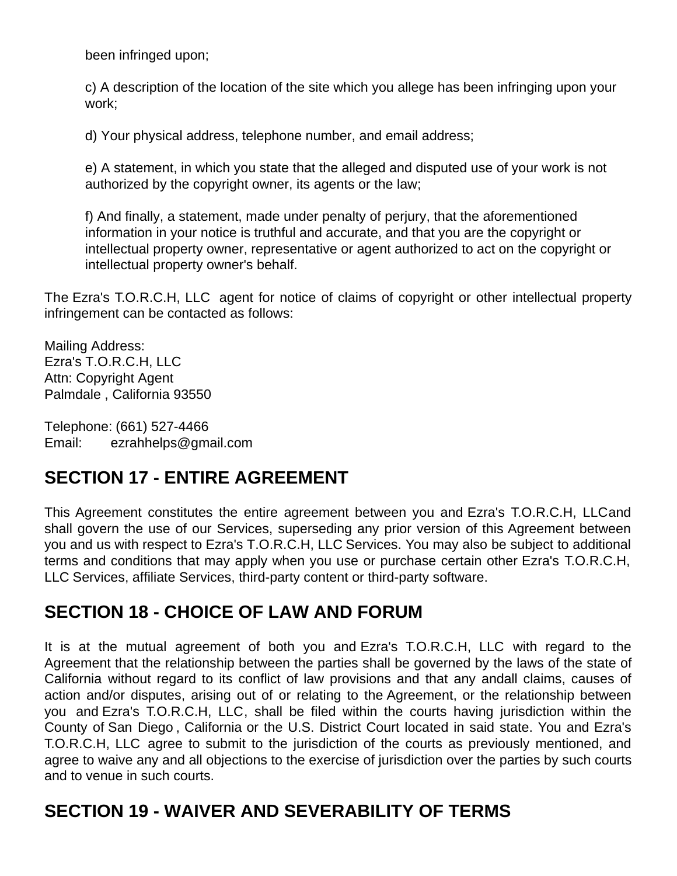been infringed upon;

c) A description of the location of the site which you allege has been infringing upon your work;

d) Your physical address, telephone number, and email address;

e) A statement, in which you state that the alleged and disputed use of your work is not authorized by the copyright owner, its agents or the law;

f) And finally, a statement, made under penalty of perjury, that the aforementioned information in your notice is truthful and accurate, and that you are the copyright or intellectual property owner, representative or agent authorized to act on the copyright or intellectual property owner's behalf.

The Ezra's T.O.R.C.H, LLC agent for notice of claims of copyright or other intellectual property infringement can be contacted as follows:

Mailing Address: Ezra's T.O.R.C.H, LLC Attn: Copyright Agent Palmdale , California 93550

Telephone: (661) 527-4466 Email: ezrahhelps@gmail.com

# **SECTION 17 - ENTIRE AGREEMENT**

This Agreement constitutes the entire agreement between you and Ezra's T.O.R.C.H, LLCand shall govern the use of our Services, superseding any prior version of this Agreement between you and us with respect to Ezra's T.O.R.C.H, LLC Services. You may also be subject to additional terms and conditions that may apply when you use or purchase certain other Ezra's T.O.R.C.H, LLC Services, affiliate Services, third-party content or third-party software.

### **SECTION 18 - CHOICE OF LAW AND FORUM**

It is at the mutual agreement of both you and Ezra's T.O.R.C.H, LLC with regard to the Agreement that the relationship between the parties shall be governed by the laws of the state of California without regard to its conflict of law provisions and that any andall claims, causes of action and/or disputes, arising out of or relating to the Agreement, or the relationship between you and Ezra's T.O.R.C.H, LLC, shall be filed within the courts having jurisdiction within the County of San Diego , California or the U.S. District Court located in said state. You and Ezra's T.O.R.C.H, LLC agree to submit to the jurisdiction of the courts as previously mentioned, and agree to waive any and all objections to the exercise of jurisdiction over the parties by such courts and to venue in such courts.

# **SECTION 19 - WAIVER AND SEVERABILITY OF TERMS**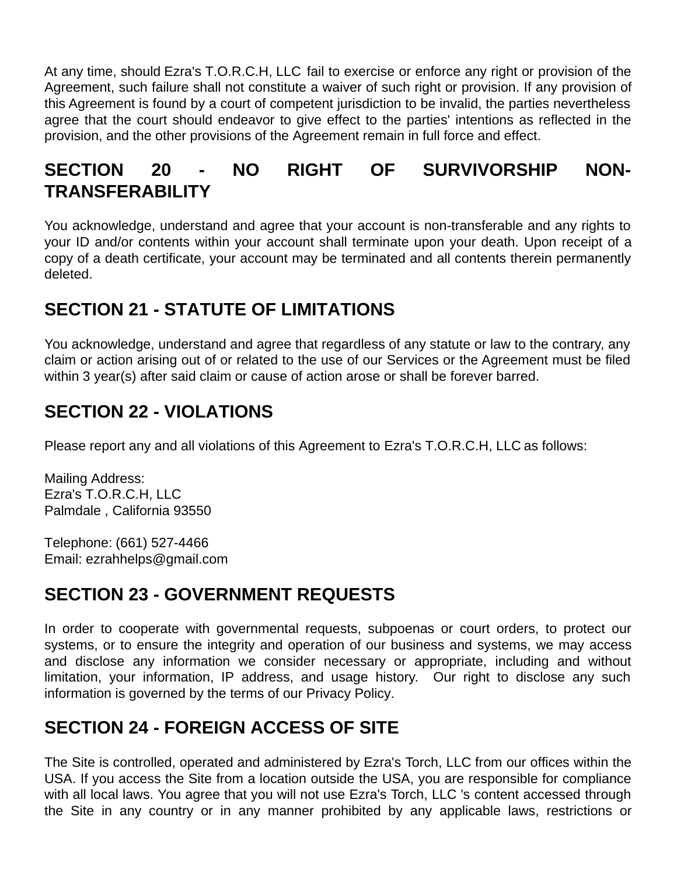At any time, should Ezra's T.O.R.C.H, LLC fail to exercise or enforce any right or provision of the Agreement, such failure shall not constitute a waiver of such right or provision. If any provision of this Agreement is found by a court of competent jurisdiction to be invalid, the parties nevertheless agree that the court should endeavor to give effect to the parties' intentions as reflected in the provision, and the other provisions of the Agreement remain in full force and effect.

# **SECTION 20 - NO RIGHT OF SURVIVORSHIP NON-TRANSFERABILITY**

You acknowledge, understand and agree that your account is non-transferable and any rights to your ID and/or contents within your account shall terminate upon your death. Upon receipt of a copy of a death certificate, your account may be terminated and all contents therein permanently deleted.

### **SECTION 21 - STATUTE OF LIMITATIONS**

You acknowledge, understand and agree that regardless of any statute or law to the contrary, any claim or action arising out of or related to the use of our Services or the Agreement must be filed within 3 year(s) after said claim or cause of action arose or shall be forever barred.

# **SECTION 22 - VIOLATIONS**

Please report any and all violations of this Agreement to Ezra's T.O.R.C.H, LLC as follows:

Mailing Address: Ezra's T.O.R.C.H, LLC Palmdale , California 93550

Telephone: (661) 527-4466 Email: ezrahhelps@gmail.com

# **SECTION 23 - GOVERNMENT REQUESTS**

In order to cooperate with governmental requests, subpoenas or court orders, to protect our systems, or to ensure the integrity and operation of our business and systems, we may access and disclose any information we consider necessary or appropriate, including and without limitation, your information, IP address, and usage history. Our right to disclose any such information is governed by the terms of our Privacy Policy.

# **SECTION 24 - FOREIGN ACCESS OF SITE**

The Site is controlled, operated and administered by Ezra's Torch, LLC from our offices within the USA. If you access the Site from a location outside the USA, you are responsible for compliance with all local laws. You agree that you will not use Ezra's Torch, LLC 's content accessed through the Site in any country or in any manner prohibited by any applicable laws, restrictions or